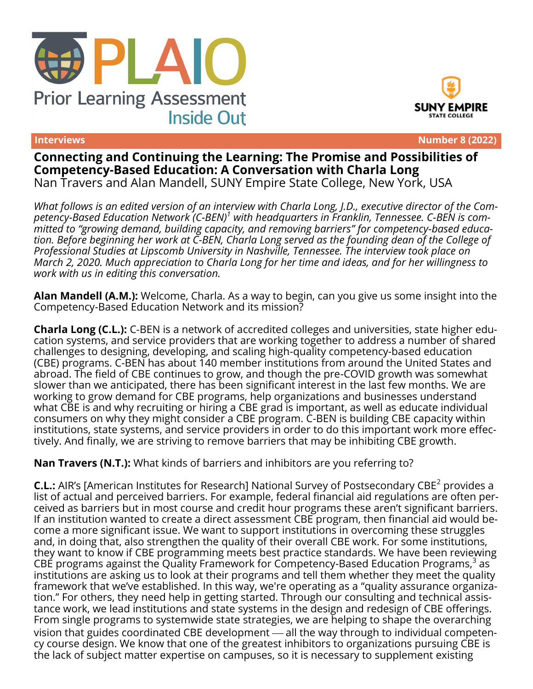





**Interviews Number 8 (2022)**

**Connecting and Continuing the Learning: The Promise and Possibilities of Competency-Based Education: A Conversation with Charla Long** Nan Travers and Alan Mandell, SUNY Empire State College, New York, USA

*What follows is an edited version of an interview with Charla Long, J.D., executive director of the Competency-Based Education Network (C-BEN)<sup>1</sup> with headquarters in Franklin, Tennessee. C-BEN is committed to "growing demand, building capacity, and removing barriers" for competency-based education. Before beginning her work at C-BEN, Charla Long served as the founding dean of the College of Professional Studies at Lipscomb University in Nashville, Tennessee. The interview took place on March 2, 2020. Much appreciation to Charla Long for her time and ideas, and for her willingness to work with us in editing this conversation.*

**Alan Mandell (A.M.):** Welcome, Charla. As a way to begin, can you give us some insight into the Competency-Based Education Network and its mission?

**Charla Long (C.L.):** C-BEN is a network of accredited colleges and universities, state higher education systems, and service providers that are working together to address a number of shared challenges to designing, developing, and scaling high-quality competency-based education (CBE) programs. C-BEN has about 140 member institutions from around the United States and abroad. The field of CBE continues to grow, and though the pre-COVID growth was somewhat slower than we anticipated, there has been significant interest in the last few months. We are working to grow demand for CBE programs, help organizations and businesses understand what CBE is and why recruiting or hiring a CBE grad is important, as well as educate individual consumers on why they might consider a CBE program. C-BEN is building CBE capacity within institutions, state systems, and service providers in order to do this important work more effectively. And finally, we are striving to remove barriers that may be inhibiting CBE growth.

**Nan Travers (N.T.):** What kinds of barriers and inhibitors are you referring to?

**C.L.:** AIR's [American Institutes for Research] National Survey of Postsecondary CBE<sup>2</sup> provides a list of actual and perceived barriers. For example, federal financial aid regulations are often perceived as barriers but in most course and credit hour programs these aren't significant barriers. If an institution wanted to create a direct assessment CBE program, then financial aid would become a more significant issue. We want to support institutions in overcoming these struggles and, in doing that, also strengthen the quality of their overall CBE work. For some institutions, they want to know if CBE programming meets best practice standards. We have been reviewing CBE programs against the Quality Framework for Competency-Based Education Programs, $^3$  as institutions are asking us to look at their programs and tell them whether they meet the quality framework that we've established. In this way, we're operating as a "quality assurance organization." For others, they need help in getting started. Through our consulting and technical assistance work, we lead institutions and state systems in the design and redesign of CBE offerings. From single programs to systemwide state strategies, we are helping to shape the overarching vision that guides coordinated CBE development — all the way through to individual competency course design. We know that one of the greatest inhibitors to organizations pursuing CBE is the lack of subject matter expertise on campuses, so it is necessary to supplement existing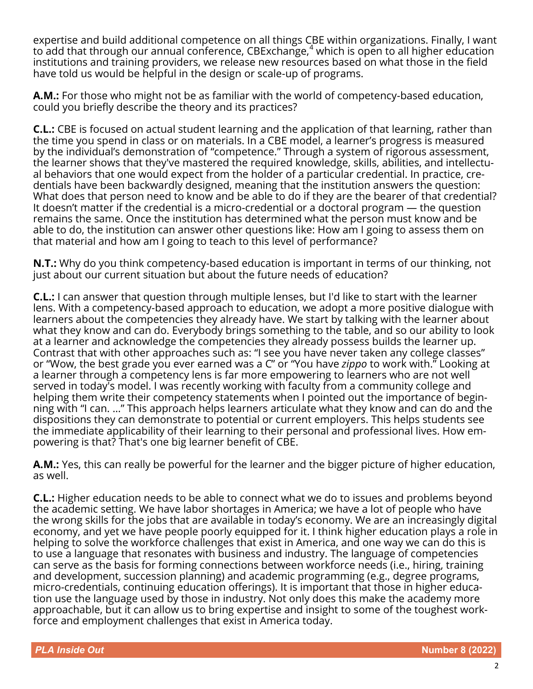expertise and build additional competence on all things CBE within organizations. Finally, I want to add that through our annual conference, CBExchange, $4$  which is open to all higher education institutions and training providers, we release new resources based on what those in the field have told us would be helpful in the design or scale-up of programs.

**A.M.:** For those who might not be as familiar with the world of competency-based education, could you briefly describe the theory and its practices?

**C.L.:** CBE is focused on actual student learning and the application of that learning, rather than the time you spend in class or on materials. In a CBE model, a learner's progress is measured by the individual's demonstration of "competence." Through a system of rigorous assessment, the learner shows that they've mastered the required knowledge, skills, abilities, and intellectual behaviors that one would expect from the holder of a particular credential. In practice, credentials have been backwardly designed, meaning that the institution answers the question: What does that person need to know and be able to do if they are the bearer of that credential? It doesn't matter if the credential is a micro-credential or a doctoral program — the question remains the same. Once the institution has determined what the person must know and be able to do, the institution can answer other questions like: How am I going to assess them on that material and how am I going to teach to this level of performance?

**N.T.:** Why do you think competency-based education is important in terms of our thinking, not just about our current situation but about the future needs of education?

**C.L.:** I can answer that question through multiple lenses, but I'd like to start with the learner lens. With a competency-based approach to education, we adopt a more positive dialogue with learners about the competencies they already have. We start by talking with the learner about what they know and can do. Everybody brings something to the table, and so our ability to look at a learner and acknowledge the competencies they already possess builds the learner up. Contrast that with other approaches such as: "I see you have never taken any college classes" or "Wow, the best grade you ever earned was a C" or "You have *zippo* to work with." Looking at a learner through a competency lens is far more empowering to learners who are not well served in today's model. I was recently working with faculty from a community college and helping them write their competency statements when I pointed out the importance of beginning with "I can. …" This approach helps learners articulate what they know and can do and the dispositions they can demonstrate to potential or current employers. This helps students see the immediate applicability of their learning to their personal and professional lives. How empowering is that? That's one big learner benefit of CBE.

**A.M.:** Yes, this can really be powerful for the learner and the bigger picture of higher education, as well.

**C.L.:** Higher education needs to be able to connect what we do to issues and problems beyond the academic setting. We have labor shortages in America; we have a lot of people who have the wrong skills for the jobs that are available in today's economy. We are an increasingly digital economy, and yet we have people poorly equipped for it. I think higher education plays a role in helping to solve the workforce challenges that exist in America, and one way we can do this is to use a language that resonates with business and industry. The language of competencies can serve as the basis for forming connections between workforce needs (i.e., hiring, training and development, succession planning) and academic programming (e.g., degree programs, micro-credentials, continuing education offerings). It is important that those in higher education use the language used by those in industry. Not only does this make the academy more approachable, but it can allow us to bring expertise and insight to some of the toughest workforce and employment challenges that exist in America today.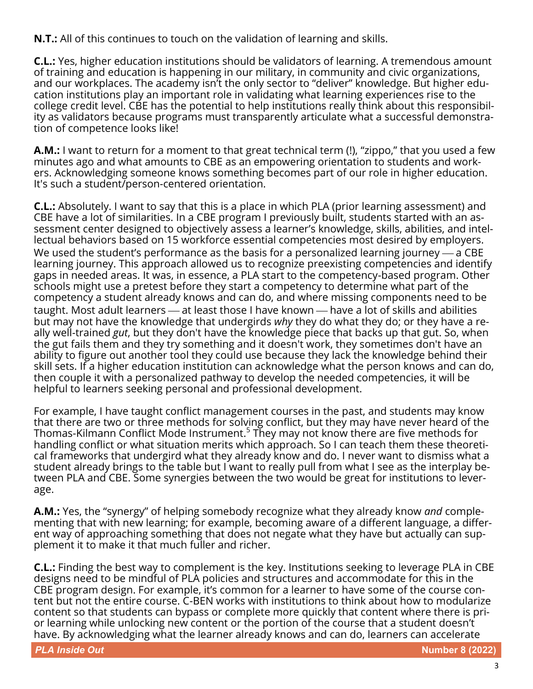**N.T.:** All of this continues to touch on the validation of learning and skills.

**C.L.:** Yes, higher education institutions should be validators of learning. A tremendous amount of training and education is happening in our military, in community and civic organizations, and our workplaces. The academy isn't the only sector to "deliver" knowledge. But higher education institutions play an important role in validating what learning experiences rise to the college credit level. CBE has the potential to help institutions really think about this responsibility as validators because programs must transparently articulate what a successful demonstration of competence looks like!

**A.M.:** I want to return for a moment to that great technical term (!), "zippo," that you used a few minutes ago and what amounts to CBE as an empowering orientation to students and workers. Acknowledging someone knows something becomes part of our role in higher education. It's such a student/person-centered orientation.

**C.L.:** Absolutely. I want to say that this is a place in which PLA (prior learning assessment) and CBE have a lot of similarities. In a CBE program I previously built, students started with an assessment center designed to objectively assess a learner's knowledge, skills, abilities, and intellectual behaviors based on 15 workforce essential competencies most desired by employers. We used the student's performance as the basis for a personalized learning journey  $\rule{1em}{0.15mm}$  a CBE learning journey. This approach allowed us to recognize preexisting competencies and identify gaps in needed areas. It was, in essence, a PLA start to the competency-based program. Other schools might use a pretest before they start a competency to determine what part of the competency a student already knows and can do, and where missing components need to be taught. Most adult learners — at least those I have known — have a lot of skills and abilities but may not have the knowledge that undergirds *why* they do what they do; or they have a really well-trained *gut*, but they don't have the knowledge piece that backs up that gut. So, when the gut fails them and they try something and it doesn't work, they sometimes don't have an ability to figure out another tool they could use because they lack the knowledge behind their skill sets. If a higher education institution can acknowledge what the person knows and can do, then couple it with a personalized pathway to develop the needed competencies, it will be helpful to learners seeking personal and professional development.

For example, I have taught conflict management courses in the past, and students may know that there are two or three methods for solving conflict, but they may have never heard of the Thomas-Kilmann Conflict Mode Instrument. $^5$  They may not know there are five methods for handling conflict or what situation merits which approach. So I can teach them these theoretical frameworks that undergird what they already know and do. I never want to dismiss what a student already brings to the table but I want to really pull from what I see as the interplay between PLA and CBE. Some synergies between the two would be great for institutions to leverage.

**A.M.:** Yes, the "synergy" of helping somebody recognize what they already know *and* complementing that with new learning; for example, becoming aware of a different language, a different way of approaching something that does not negate what they have but actually can supplement it to make it that much fuller and richer.

**C.L.:** Finding the best way to complement is the key. Institutions seeking to leverage PLA in CBE designs need to be mindful of PLA policies and structures and accommodate for this in the CBE program design. For example, it's common for a learner to have some of the course content but not the entire course. C-BEN works with institutions to think about how to modularize content so that students can bypass or complete more quickly that content where there is prior learning while unlocking new content or the portion of the course that a student doesn't have. By acknowledging what the learner already knows and can do, learners can accelerate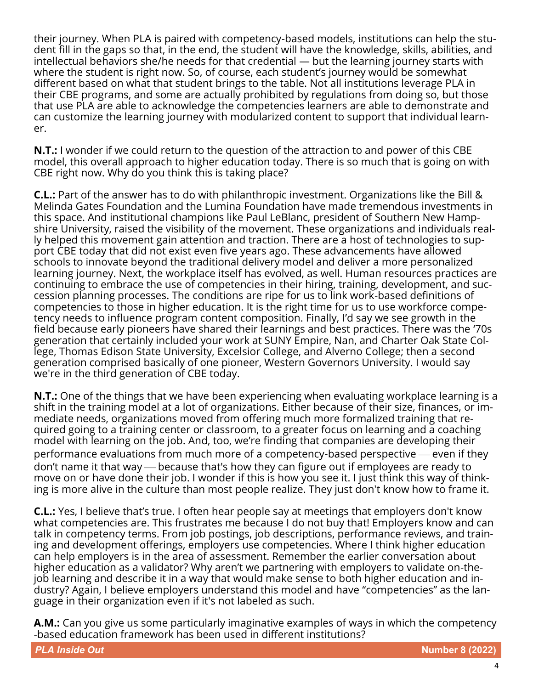their journey. When PLA is paired with competency-based models, institutions can help the student fill in the gaps so that, in the end, the student will have the knowledge, skills, abilities, and intellectual behaviors she/he needs for that credential — but the learning journey starts with where the student is right now. So, of course, each student's journey would be somewhat different based on what that student brings to the table. Not all institutions leverage PLA in their CBE programs, and some are actually prohibited by regulations from doing so, but those that use PLA are able to acknowledge the competencies learners are able to demonstrate and can customize the learning journey with modularized content to support that individual learner.

**N.T.:** I wonder if we could return to the question of the attraction to and power of this CBE model, this overall approach to higher education today. There is so much that is going on with CBE right now. Why do you think this is taking place?

**C.L.:** Part of the answer has to do with philanthropic investment. Organizations like the Bill & Melinda Gates Foundation and the Lumina Foundation have made tremendous investments in this space. And institutional champions like Paul LeBlanc, president of Southern New Hampshire University, raised the visibility of the movement. These organizations and individuals really helped this movement gain attention and traction. There are a host of technologies to support CBE today that did not exist even five years ago. These advancements have allowed schools to innovate beyond the traditional delivery model and deliver a more personalized learning journey. Next, the workplace itself has evolved, as well. Human resources practices are continuing to embrace the use of competencies in their hiring, training, development, and succession planning processes. The conditions are ripe for us to link work-based definitions of competencies to those in higher education. It is the right time for us to use workforce competency needs to influence program content composition. Finally, I'd say we see growth in the field because early pioneers have shared their learnings and best practices. There was the '70s generation that certainly included your work at SUNY Empire, Nan, and Charter Oak State College, Thomas Edison State University, Excelsior College, and Alverno College; then a second generation comprised basically of one pioneer, Western Governors University. I would say we're in the third generation of CBE today.

**N.T.:** One of the things that we have been experiencing when evaluating workplace learning is a shift in the training model at a lot of organizations. Either because of their size, finances, or immediate needs, organizations moved from offering much more formalized training that required going to a training center or classroom, to a greater focus on learning and a coaching model with learning on the job. And, too, we're finding that companies are developing their performance evaluations from much more of a competency-based perspective — even if they don't name it that way — because that's how they can figure out if employees are ready to move on or have done their job. I wonder if this is how you see it. I just think this way of thinking is more alive in the culture than most people realize. They just don't know how to frame it.

**C.L.:** Yes, I believe that's true. I often hear people say at meetings that employers don't know what competencies are. This frustrates me because I do not buy that! Employers know and can talk in competency terms. From job postings, job descriptions, performance reviews, and training and development offerings, employers use competencies. Where I think higher education can help employers is in the area of assessment. Remember the earlier conversation about higher education as a validator? Why aren't we partnering with employers to validate on-thejob learning and describe it in a way that would make sense to both higher education and industry? Again, I believe employers understand this model and have "competencies" as the language in their organization even if it's not labeled as such.

**A.M.:** Can you give us some particularly imaginative examples of ways in which the competency -based education framework has been used in different institutions?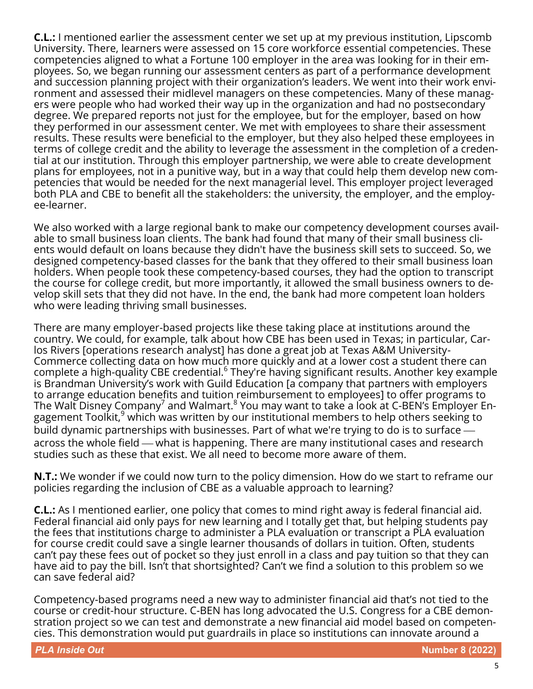**C.L.:** I mentioned earlier the assessment center we set up at my previous institution, Lipscomb University. There, learners were assessed on 15 core workforce essential competencies. These competencies aligned to what a Fortune 100 employer in the area was looking for in their employees. So, we began running our assessment centers as part of a performance development and succession planning project with their organization's leaders. We went into their work environment and assessed their midlevel managers on these competencies. Many of these managers were people who had worked their way up in the organization and had no postsecondary degree. We prepared reports not just for the employee, but for the employer, based on how they performed in our assessment center. We met with employees to share their assessment results. These results were beneficial to the employer, but they also helped these employees in terms of college credit and the ability to leverage the assessment in the completion of a credential at our institution. Through this employer partnership, we were able to create development plans for employees, not in a punitive way, but in a way that could help them develop new competencies that would be needed for the next managerial level. This employer project leveraged both PLA and CBE to benefit all the stakeholders: the university, the employer, and the employee-learner.

We also worked with a large regional bank to make our competency development courses available to small business loan clients. The bank had found that many of their small business clients would default on loans because they didn't have the business skill sets to succeed. So, we designed competency-based classes for the bank that they offered to their small business loan holders. When people took these competency-based courses, they had the option to transcript the course for college credit, but more importantly, it allowed the small business owners to develop skill sets that they did not have. In the end, the bank had more competent loan holders who were leading thriving small businesses.

There are many employer-based projects like these taking place at institutions around the country. We could, for example, talk about how CBE has been used in Texas; in particular, Carlos Rivers [operations research analyst] has done a great job at Texas A&M University-Commerce collecting data on how much more quickly and at a lower cost a student there can complete a high-quality CBE credential.<sup>6</sup> They're having significant results. Another key example is Brandman University's work with Guild Education [a company that partners with employers to arrange education benefits and tuition reimbursement to employees] to offer programs to The Walt Disney Company $^7$  and Walmart. $^8$  You may want to take a look at C-BEN's Employer Engagement Toolkit,<sup>9</sup> which was written by our institutional members to help others seeking to build dynamic partnerships with businesses. Part of what we're trying to do is to surface across the whole field — what is happening. There are many institutional cases and research studies such as these that exist. We all need to become more aware of them.

**N.T.:** We wonder if we could now turn to the policy dimension. How do we start to reframe our policies regarding the inclusion of CBE as a valuable approach to learning?

**C.L.:** As I mentioned earlier, one policy that comes to mind right away is federal financial aid. Federal financial aid only pays for new learning and I totally get that, but helping students pay the fees that institutions charge to administer a PLA evaluation or transcript a PLA evaluation for course credit could save a single learner thousands of dollars in tuition. Often, students can't pay these fees out of pocket so they just enroll in a class and pay tuition so that they can have aid to pay the bill. Isn't that shortsighted? Can't we find a solution to this problem so we can save federal aid?

Competency-based programs need a new way to administer financial aid that's not tied to the course or credit-hour structure. C-BEN has long advocated the U.S. Congress for a CBE demonstration project so we can test and demonstrate a new financial aid model based on competencies. This demonstration would put guardrails in place so institutions can innovate around a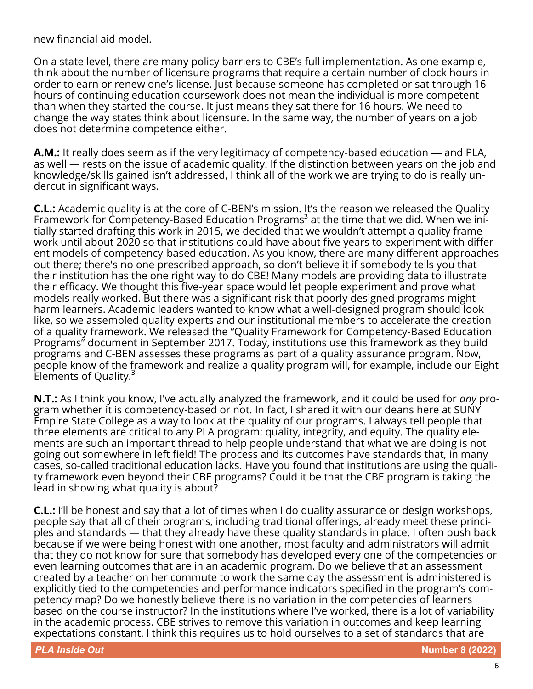new financial aid model.

On a state level, there are many policy barriers to CBE's full implementation. As one example, think about the number of licensure programs that require a certain number of clock hours in order to earn or renew one's license. Just because someone has completed or sat through 16 hours of continuing education coursework does not mean the individual is more competent than when they started the course. It just means they sat there for 16 hours. We need to change the way states think about licensure. In the same way, the number of years on a job does not determine competence either.

**A.M.:** It really does seem as if the very legitimacy of competency-based education — and PLA, as well — rests on the issue of academic quality. If the distinction between years on the job and knowledge/skills gained isn't addressed, I think all of the work we are trying to do is really undercut in significant ways.

**C.L.:** Academic quality is at the core of C-BEN's mission. It's the reason we released the Quality Framework for Competency-Based Education Programs<sup>3</sup> at the time that we did. When we initially started drafting this work in 2015, we decided that we wouldn't attempt a quality framework until about 2020 so that institutions could have about five years to experiment with different models of competency-based education. As you know, there are many different approaches out there; there's no one prescribed approach, so don't believe it if somebody tells you that their institution has the one right way to do CBE! Many models are providing data to illustrate their efficacy. We thought this five-year space would let people experiment and prove what models really worked. But there was a significant risk that poorly designed programs might harm learners. Academic leaders wanted to know what a well-designed program should look like, so we assembled quality experts and our institutional members to accelerate the creation of a quality framework. We released the "Quality Framework for Competency-Based Education Programs" document in September 2017. Today, institutions use this framework as they build programs and C-BEN assesses these programs as part of a quality assurance program. Now, people know of the framework and realize a quality program will, for example, include our Eight Elements of Quality. $3$ 

**N.T.:** As I think you know, I've actually analyzed the framework, and it could be used for *any* program whether it is competency-based or not. In fact, I shared it with our deans here at SUNY Empire State College as a way to look at the quality of our programs. I always tell people that three elements are critical to any PLA program: quality, integrity, and equity. The quality elements are such an important thread to help people understand that what we are doing is not going out somewhere in left field! The process and its outcomes have standards that, in many cases, so-called traditional education lacks. Have you found that institutions are using the quality framework even beyond their CBE programs? Could it be that the CBE program is taking the lead in showing what quality is about?

**C.L.:** I'll be honest and say that a lot of times when I do quality assurance or design workshops, people say that all of their programs, including traditional offerings, already meet these principles and standards — that they already have these quality standards in place. I often push back because if we were being honest with one another, most faculty and administrators will admit that they do not know for sure that somebody has developed every one of the competencies or even learning outcomes that are in an academic program. Do we believe that an assessment created by a teacher on her commute to work the same day the assessment is administered is explicitly tied to the competencies and performance indicators specified in the program's competency map? Do we honestly believe there is no variation in the competencies of learners based on the course instructor? In the institutions where I've worked, there is a lot of variability in the academic process. CBE strives to remove this variation in outcomes and keep learning expectations constant. I think this requires us to hold ourselves to a set of standards that are

*PLA Inside Out* **Number 8 (2022)**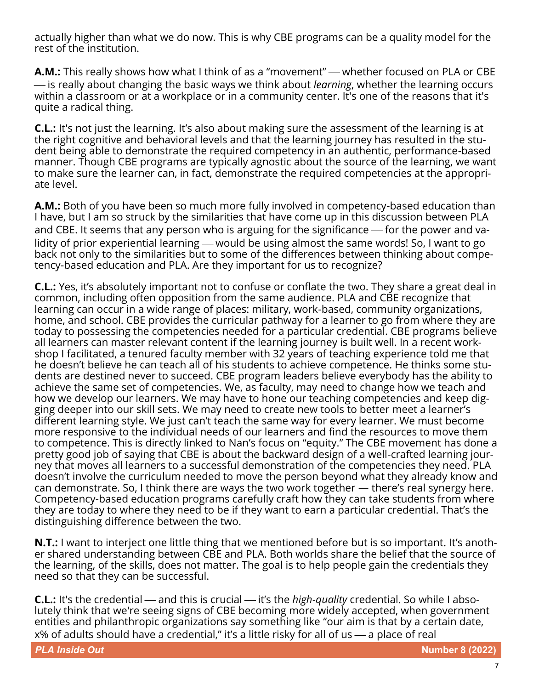actually higher than what we do now. This is why CBE programs can be a quality model for the rest of the institution.

**A.M.:** This really shows how what I think of as a "movement" — whether focused on PLA or CBE  $-$  is really about changing the basic ways we think about *learning*, whether the learning occurs within a classroom or at a workplace or in a community center. It's one of the reasons that it's quite a radical thing.

**C.L.:** It's not just the learning. It's also about making sure the assessment of the learning is at the right cognitive and behavioral levels and that the learning journey has resulted in the student being able to demonstrate the required competency in an authentic, performance-based manner. Though CBE programs are typically agnostic about the source of the learning, we want to make sure the learner can, in fact, demonstrate the required competencies at the appropriate level.

**A.M.:** Both of you have been so much more fully involved in competency-based education than I have, but I am so struck by the similarities that have come up in this discussion between PLA and CBE. It seems that any person who is arguing for the significance — for the power and validity of prior experiential learning — would be using almost the same words! So, I want to go back not only to the similarities but to some of the differences between thinking about competency-based education and PLA. Are they important for us to recognize?

**C.L.:** Yes, it's absolutely important not to confuse or conflate the two. They share a great deal in common, including often opposition from the same audience. PLA and CBE recognize that learning can occur in a wide range of places: military, work-based, community organizations, home, and school. CBE provides the curricular pathway for a learner to go from where they are today to possessing the competencies needed for a particular credential. CBE programs believe all learners can master relevant content if the learning journey is built well. In a recent workshop I facilitated, a tenured faculty member with 32 years of teaching experience told me that he doesn't believe he can teach all of his students to achieve competence. He thinks some students are destined never to succeed. CBE program leaders believe everybody has the ability to achieve the same set of competencies. We, as faculty, may need to change how we teach and how we develop our learners. We may have to hone our teaching competencies and keep digging deeper into our skill sets. We may need to create new tools to better meet a learner's different learning style. We just can't teach the same way for every learner. We must become more responsive to the individual needs of our learners and find the resources to move them to competence. This is directly linked to Nan's focus on "equity." The CBE movement has done a pretty good job of saying that CBE is about the backward design of a well-crafted learning journey that moves all learners to a successful demonstration of the competencies they need. PLA doesn't involve the curriculum needed to move the person beyond what they already know and can demonstrate. So, I think there are ways the two work together — there's real synergy here. Competency-based education programs carefully craft how they can take students from where they are today to where they need to be if they want to earn a particular credential. That's the distinguishing difference between the two.

**N.T.:** I want to interject one little thing that we mentioned before but is so important. It's another shared understanding between CBE and PLA. Both worlds share the belief that the source of the learning, of the skills, does not matter. The goal is to help people gain the credentials they need so that they can be successful.

**C.L.:** It's the credential — and this is crucial — it's the *high-quality* credential. So while I absolutely think that we're seeing signs of CBE becoming more widely accepted, when government entities and philanthropic organizations say something like "our aim is that by a certain date,  $x\%$  of adults should have a credential," it's a little risky for all of us  $-$  a place of real